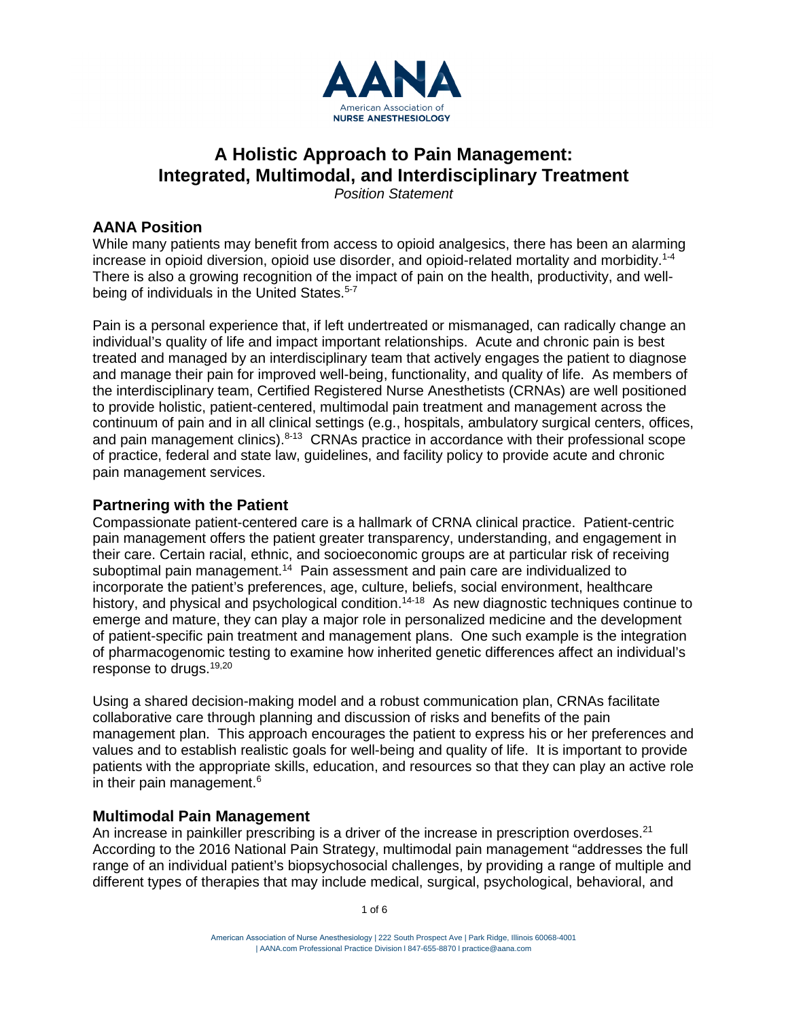

# **A Holistic Approach to Pain Management: Integrated, Multimodal, and Interdisciplinary Treatment**

*Position Statement*

# **AANA Position**

While many patients may benefit from access to opioid analgesics, there has been an alarming increase in opioid diversion, opioid use disorder, and opioid-related mortality and morbidity.1-4 There is also a growing recognition of the impact of pain on the health, productivity, and wellbeing of individuals in the United States.<sup>5-7</sup>

Pain is a personal experience that, if left undertreated or mismanaged, can radically change an individual's quality of life and impact important relationships. Acute and chronic pain is best treated and managed by an interdisciplinary team that actively engages the patient to diagnose and manage their pain for improved well-being, functionality, and quality of life. As members of the interdisciplinary team, Certified Registered Nurse Anesthetists (CRNAs) are well positioned to provide holistic, patient-centered, multimodal pain treatment and management across the continuum of pain and in all clinical settings (e.g., hospitals, ambulatory surgical centers, offices, and pain management clinics). $8-13$  CRNAs practice in accordance with their professional scope of practice, federal and state law, guidelines, and facility policy to provide acute and chronic pain management services.

## **Partnering with the Patient**

Compassionate patient-centered care is a hallmark of CRNA clinical practice. Patient-centric pain management offers the patient greater transparency, understanding, and engagement in their care. Certain racial, ethnic, and socioeconomic groups are at particular risk of receiving suboptimal pain management.<sup>14</sup> Pain assessment and pain care are individualized to incorporate the patient's preferences, age, culture, beliefs, social environment, healthcare history, and physical and psychological condition.<sup>14-18</sup> As new diagnostic techniques continue to emerge and mature, they can play a major role in personalized medicine and the development of patient-specific pain treatment and management plans. One such example is the integration of pharmacogenomic testing to examine how inherited genetic differences affect an individual's response to drugs.19,20

Using a shared decision-making model and a robust communication plan, CRNAs facilitate collaborative care through planning and discussion of risks and benefits of the pain management plan. This approach encourages the patient to express his or her preferences and values and to establish realistic goals for well-being and quality of life. It is important to provide patients with the appropriate skills, education, and resources so that they can play an active role in their pain management.<sup>6</sup>

# **Multimodal Pain Management**

An increase in painkiller prescribing is a driver of the increase in prescription overdoses.<sup>21</sup> According to the 2016 National Pain Strategy, multimodal pain management "addresses the full range of an individual patient's biopsychosocial challenges, by providing a range of multiple and different types of therapies that may include medical, surgical, psychological, behavioral, and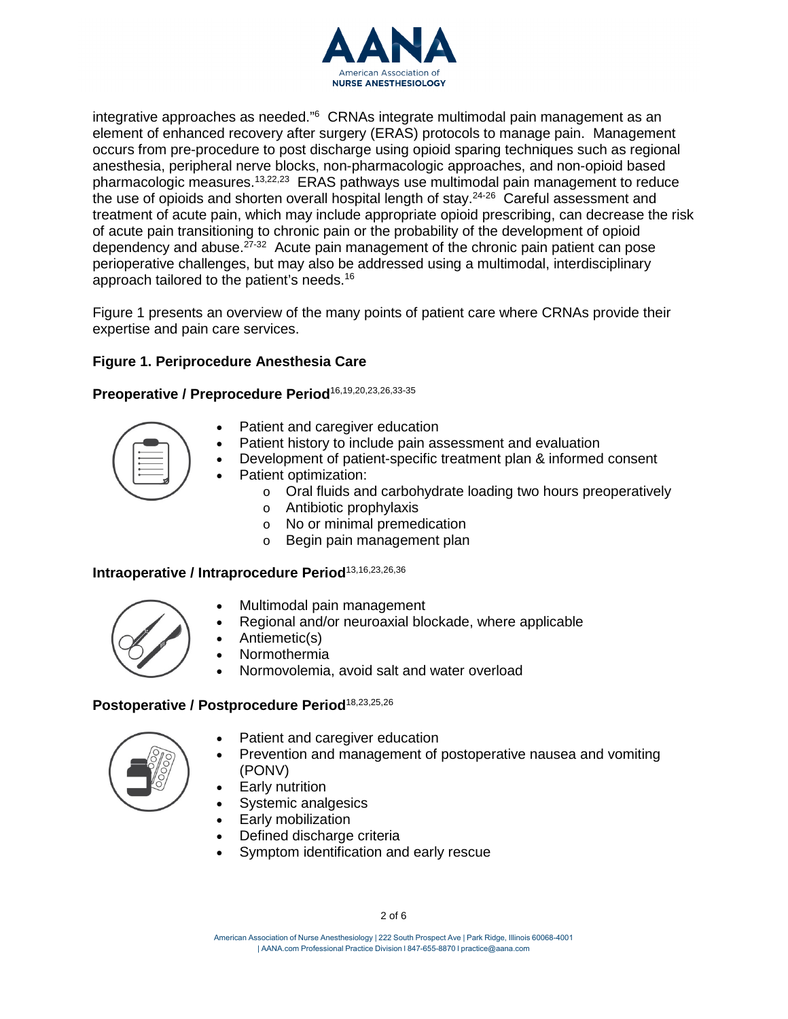

integrative approaches as needed."6 CRNAs integrate multimodal pain management as an element of enhanced recovery after surgery (ERAS) protocols to manage pain. Management occurs from pre-procedure to post discharge using opioid sparing techniques such as regional anesthesia, peripheral nerve blocks, non-pharmacologic approaches, and non-opioid based pharmacologic measures.13,22,23 ERAS pathways use multimodal pain management to reduce the use of opioids and shorten overall hospital length of stay.<sup>24-26</sup> Careful assessment and treatment of acute pain, which may include appropriate opioid prescribing, can decrease the risk of acute pain transitioning to chronic pain or the probability of the development of opioid dependency and abuse. $27-32$  Acute pain management of the chronic pain patient can pose perioperative challenges, but may also be addressed using a multimodal, interdisciplinary approach tailored to the patient's needs.16

Figure 1 presents an overview of the many points of patient care where CRNAs provide their expertise and pain care services.

# **Figure 1. Periprocedure Anesthesia Care**

Preoperative / Preprocedure Period<sup>16,19,20,23,26,33-35</sup>



- Patient and caregiver education
- Patient history to include pain assessment and evaluation
- Development of patient-specific treatment plan & informed consent
- Patient optimization:
	- o Oral fluids and carbohydrate loading two hours preoperatively
	- o Antibiotic prophylaxis
	- o No or minimal premedication
	- o Begin pain management plan

#### **Intraoperative / Intraprocedure Period**13,16,23,26,36



- Multimodal pain management
- Regional and/or neuroaxial blockade, where applicable
- Antiemetic(s)
- Normothermia
- Normovolemia, avoid salt and water overload

#### **Postoperative / Postprocedure Period**18,23,25,26



- Patient and caregiver education
- Prevention and management of postoperative nausea and vomiting (PONV)
- **Early nutrition**
- Systemic analgesics
- Early mobilization
- Defined discharge criteria
- Symptom identification and early rescue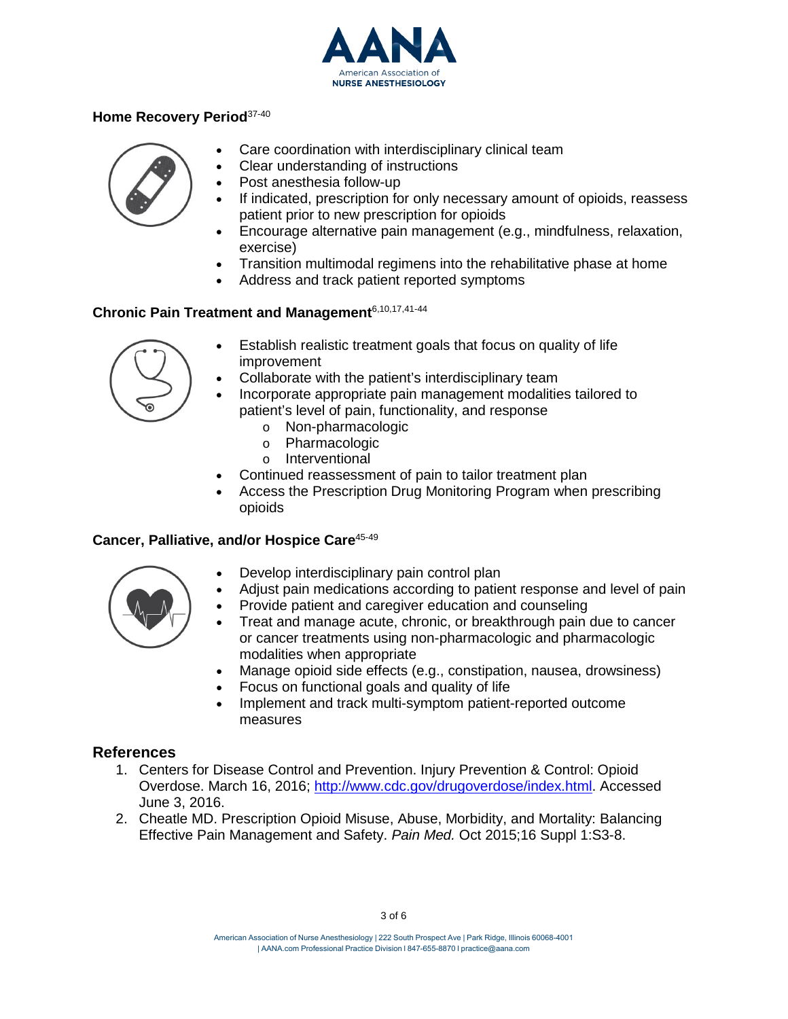

## **Home Recovery Period**37-40



- Care coordination with interdisciplinary clinical team
- Clear understanding of instructions
- Post anesthesia follow-up
- If indicated, prescription for only necessary amount of opioids, reassess patient prior to new prescription for opioids
- Encourage alternative pain management (e.g., mindfulness, relaxation, exercise)
- Transition multimodal regimens into the rehabilitative phase at home
- Address and track patient reported symptoms

## **Chronic Pain Treatment and Management**6,10,17,41-44



- Establish realistic treatment goals that focus on quality of life improvement
- Collaborate with the patient's interdisciplinary team
- Incorporate appropriate pain management modalities tailored to patient's level of pain, functionality, and response
	- o Non-pharmacologic
	- o Pharmacologic
	- o Interventional
- Continued reassessment of pain to tailor treatment plan
- Access the Prescription Drug Monitoring Program when prescribing opioids

#### **Cancer, Palliative, and/or Hospice Care**45-49



- Develop interdisciplinary pain control plan
- Adjust pain medications according to patient response and level of pain
- Provide patient and caregiver education and counseling
- Treat and manage acute, chronic, or breakthrough pain due to cancer or cancer treatments using non-pharmacologic and pharmacologic modalities when appropriate
- Manage opioid side effects (e.g., constipation, nausea, drowsiness)
- Focus on functional goals and quality of life
- Implement and track multi-symptom patient-reported outcome measures

# **References**

- 1. Centers for Disease Control and Prevention. Injury Prevention & Control: Opioid Overdose. March 16, 2016; [http://www.cdc.gov/drugoverdose/index.html.](http://www.cdc.gov/drugoverdose/index.html) Accessed June 3, 2016.
- 2. Cheatle MD. Prescription Opioid Misuse, Abuse, Morbidity, and Mortality: Balancing Effective Pain Management and Safety. *Pain Med.* Oct 2015;16 Suppl 1:S3-8.

American Association of Nurse Anesthesiology | 222 South Prospect Ave | Park Ridge, Illinois 60068-4001 | AANA.com Professional Practice Division l 847-655[-8870 l practice@aana](mailto:practice@aana.com).com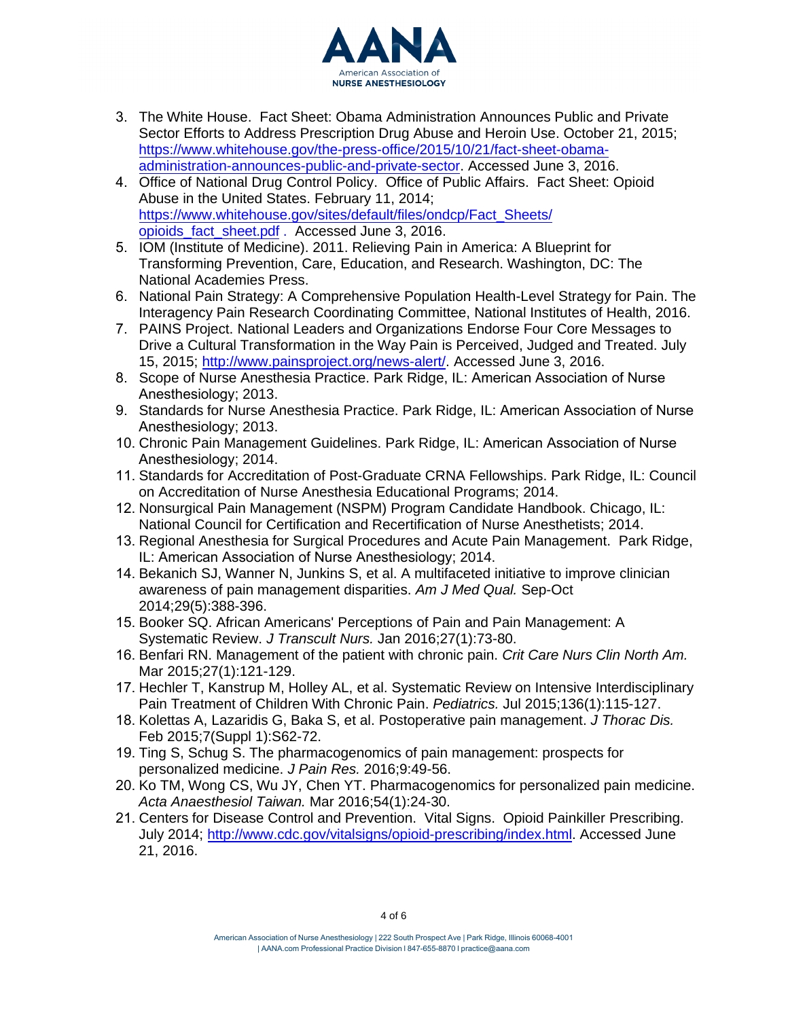

- 3. The White House. Fact Sheet: Obama Administration Announces Public and Private Sector Efforts to Address Prescription Drug Abuse and Heroin Use. October 21, 2015; [https://www.whitehouse.gov/the-press-office/2015/10/21/fact-sheet-obama](https://www.whitehouse.gov/the-press-office/2015/10/21/fact-sheet-obama-administration-announces-public-and-private-sector)[administration-announces-public-and-private-sector.](https://www.whitehouse.gov/the-press-office/2015/10/21/fact-sheet-obama-administration-announces-public-and-private-sector) Accessed June 3, 2016.
- 4. Office of National Drug Control Policy. Office of Public Affairs. Fact Sheet: Opioid Abuse in the United States. February 11, 2014; [https://www.whitehouse.gov/sites/default/files/ondcp/Fact\\_Sheets/](https://www.whitehouse.gov/sites/default/files/ondcp/Fact_Sheets/opioids_fact_sheet.pdf) opioids\_fact\_sheet.pdf . Accessed June 3, 2016.
- 5. IOM (Institute of Medicine). 2011. Relieving Pain in America: A Blueprint for Transforming Prevention, Care, Education, and Research. Washington, DC: The National Academies Press.
- 6. National Pain Strategy: A Comprehensive Population Health-Level Strategy for Pain. The Interagency Pain Research Coordinating Committee, National Institutes of Health, 2016.
- 7. PAINS Project. National Leaders and Organizations Endorse Four Core Messages to Drive a Cultural Transformation in the Way Pain is Perceived, Judged and Treated. July 15, 2015; [http://www.painsproject.org/news-alert/.](http://www.painsproject.org/news-alert/) Accessed June 3, 2016.
- 8. Scope of Nurse Anesthesia Practice. Park Ridge, IL: American Association of Nurse Anesthesiology; 2013.
- 9. Standards for Nurse Anesthesia Practice. Park Ridge, IL: American Association of Nurse Anesthesiology; 2013.
- 10. Chronic Pain Management Guidelines. Park Ridge, IL: American Association of Nurse Anesthesiology; 2014.
- 11. Standards for Accreditation of Post-Graduate CRNA Fellowships. Park Ridge, IL: Council on Accreditation of Nurse Anesthesia Educational Programs; 2014.
- 12. Nonsurgical Pain Management (NSPM) Program Candidate Handbook. Chicago, IL: National Council for Certification and Recertification of Nurse Anesthetists; 2014.
- 13. Regional Anesthesia for Surgical Procedures and Acute Pain Management. Park Ridge, IL: American Association of Nurse Anesthesiology; 2014.
- 14. Bekanich SJ, Wanner N, Junkins S, et al. A multifaceted initiative to improve clinician awareness of pain management disparities. *Am J Med Qual.* Sep-Oct 2014;29(5):388-396.
- 15. Booker SQ. African Americans' Perceptions of Pain and Pain Management: A Systematic Review. *J Transcult Nurs.* Jan 2016;27(1):73-80.
- 16. Benfari RN. Management of the patient with chronic pain. *Crit Care Nurs Clin North Am.* Mar 2015;27(1):121-129.
- 17. Hechler T, Kanstrup M, Holley AL, et al. Systematic Review on Intensive Interdisciplinary Pain Treatment of Children With Chronic Pain. *Pediatrics.* Jul 2015;136(1):115-127.
- 18. Kolettas A, Lazaridis G, Baka S, et al. Postoperative pain management. *J Thorac Dis.* Feb 2015;7(Suppl 1):S62-72.
- 19. Ting S, Schug S. The pharmacogenomics of pain management: prospects for personalized medicine. *J Pain Res.* 2016;9:49-56.
- 20. Ko TM, Wong CS, Wu JY, Chen YT. Pharmacogenomics for personalized pain medicine. *Acta Anaesthesiol Taiwan.* Mar 2016;54(1):24-30.
- 21. Centers for Disease Control and Prevention. Vital Signs. Opioid Painkiller Prescribing. July 2014; [http://www.cdc.gov/vitalsigns/opioid-prescribing/index.html.](http://www.cdc.gov/vitalsigns/opioid-prescribing/index.html) Accessed June 21, 2016.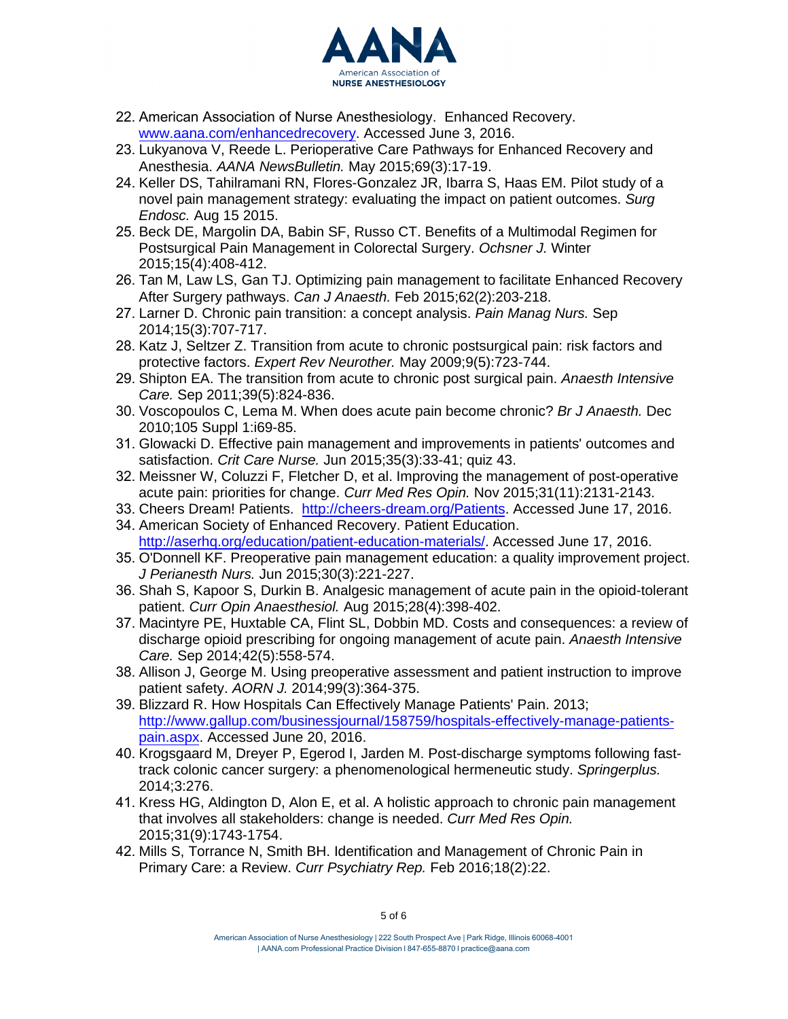

- 22. American Association of Nurse Anesthesiology. Enhanced Recovery. [www.aana.com/enhancedrecovery.](http://www.aana.com/enhancedrecovery) Accessed June 3, 2016.
- 23. Lukyanova V, Reede L. Perioperative Care Pathways for Enhanced Recovery and Anesthesia. *AANA NewsBulletin.* May 2015;69(3):17-19.
- 24. Keller DS, Tahilramani RN, Flores-Gonzalez JR, Ibarra S, Haas EM. Pilot study of a novel pain management strategy: evaluating the impact on patient outcomes. *Surg Endosc.* Aug 15 2015.
- 25. Beck DE, Margolin DA, Babin SF, Russo CT. Benefits of a Multimodal Regimen for Postsurgical Pain Management in Colorectal Surgery. *Ochsner J.* Winter 2015;15(4):408-412.
- 26. Tan M, Law LS, Gan TJ. Optimizing pain management to facilitate Enhanced Recovery After Surgery pathways. *Can J Anaesth.* Feb 2015;62(2):203-218.
- 27. Larner D. Chronic pain transition: a concept analysis. *Pain Manag Nurs.* Sep 2014;15(3):707-717.
- 28. Katz J, Seltzer Z. Transition from acute to chronic postsurgical pain: risk factors and protective factors. *Expert Rev Neurother.* May 2009;9(5):723-744.
- 29. Shipton EA. The transition from acute to chronic post surgical pain. *Anaesth Intensive Care.* Sep 2011;39(5):824-836.
- 30. Voscopoulos C, Lema M. When does acute pain become chronic? *Br J Anaesth.* Dec 2010;105 Suppl 1:i69-85.
- 31. Glowacki D. Effective pain management and improvements in patients' outcomes and satisfaction. *Crit Care Nurse.* Jun 2015;35(3):33-41; quiz 43.
- 32. Meissner W, Coluzzi F, Fletcher D, et al. Improving the management of post-operative acute pain: priorities for change. *Curr Med Res Opin.* Nov 2015;31(11):2131-2143.
- 33. Cheers Dream! Patients. [http://cheers-dream.org/Patients.](http://cheers-dream.org/Patients) Accessed June 17, 2016. 34. American Society of Enhanced Recovery. Patient Education.
- [http://aserhq.org/education/patient-education-materials/.](http://aserhq.org/education/patient-education-materials/) Accessed June 17, 2016.
- 35. O'Donnell KF. Preoperative pain management education: a quality improvement project. *J Perianesth Nurs.* Jun 2015;30(3):221-227.
- 36. Shah S, Kapoor S, Durkin B. Analgesic management of acute pain in the opioid-tolerant patient. *Curr Opin Anaesthesiol.* Aug 2015;28(4):398-402.
- 37. Macintyre PE, Huxtable CA, Flint SL, Dobbin MD. Costs and consequences: a review of discharge opioid prescribing for ongoing management of acute pain. *Anaesth Intensive Care.* Sep 2014;42(5):558-574.
- 38. Allison J, George M. Using preoperative assessment and patient instruction to improve patient safety. *AORN J.* 2014;99(3):364-375.
- 39. Blizzard R. How Hospitals Can Effectively Manage Patients' Pain. 2013; [http://www.gallup.com/businessjournal/158759/hospitals-effectively-manage-patients](http://www.gallup.com/businessjournal/158759/hospitals-effectively-manage-patients-pain.aspx)[pain.aspx.](http://www.gallup.com/businessjournal/158759/hospitals-effectively-manage-patients-pain.aspx) Accessed June 20, 2016.
- 40. Krogsgaard M, Dreyer P, Egerod I, Jarden M. Post-discharge symptoms following fasttrack colonic cancer surgery: a phenomenological hermeneutic study. *Springerplus.* 2014;3:276.
- 41. Kress HG, Aldington D, Alon E, et al. A holistic approach to chronic pain management that involves all stakeholders: change is needed. *Curr Med Res Opin.*  2015;31(9):1743-1754.
- 42. Mills S, Torrance N, Smith BH. Identification and Management of Chronic Pain in Primary Care: a Review. *Curr Psychiatry Rep.* Feb 2016;18(2):22.